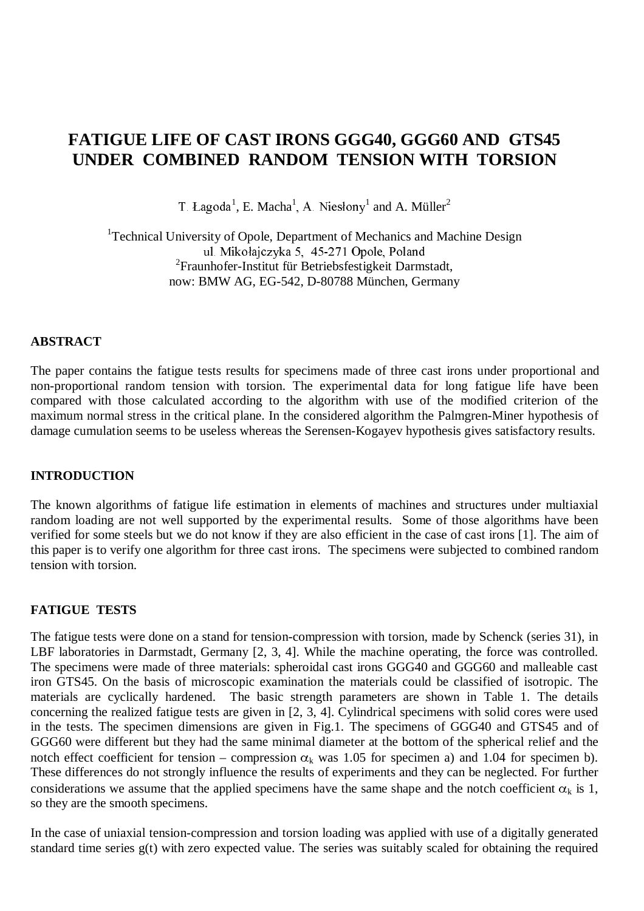# **FATIGUE LIFE OF CAST IRONS GGG40, GGG60 AND GTS45 UNDER COMBINED RANDOM TENSION WITH TORSION**

T. Łagoda<sup>1</sup>, E. Macha<sup>1</sup>, A. Niesłony<sup>1</sup> and A. Müller<sup>2</sup>

<sup>1</sup>Technical University of Opole, Department of Mechanics and Machine Design ul. Mikołajczyka 5, 45-271 Opole, Poland 2 Fraunhofer-Institut für Betriebsfestigkeit Darmstadt, now: BMW AG, EG-542, D-80788 München, Germany

## **ABSTRACT**

The paper contains the fatigue tests results for specimens made of three cast irons under proportional and non-proportional random tension with torsion. The experimental data for long fatigue life have been compared with those calculated according to the algorithm with use of the modified criterion of the maximum normal stress in the critical plane. In the considered algorithm the Palmgren-Miner hypothesis of damage cumulation seems to be useless whereas the Serensen-Kogayev hypothesis gives satisfactory results.

#### **INTRODUCTION**

The known algorithms of fatigue life estimation in elements of machines and structures under multiaxial random loading are not well supported by the experimental results. Some of those algorithms have been verified for some steels but we do not know if they are also efficient in the case of cast irons [1]. The aim of this paper is to verify one algorithm for three cast irons. The specimens were subjected to combined random tension with torsion.

## **FATIGUE TESTS**

The fatigue tests were done on a stand for tension-compression with torsion, made by Schenck (series 31), in LBF laboratories in Darmstadt, Germany [2, 3, 4]. While the machine operating, the force was controlled. The specimens were made of three materials: spheroidal cast irons GGG40 and GGG60 and malleable cast iron GTS45. On the basis of microscopic examination the materials could be classified of isotropic. The materials are cyclically hardened. The basic strength parameters are shown in Table 1. The details concerning the realized fatigue tests are given in [2, 3, 4]. Cylindrical specimens with solid cores were used in the tests. The specimen dimensions are given in Fig.1. The specimens of GGG40 and GTS45 and of GGG60 were different but they had the same minimal diameter at the bottom of the spherical relief and the notch effect coefficient for tension – compression  $\alpha_k$  was 1.05 for specimen a) and 1.04 for specimen b). These differences do not strongly influence the results of experiments and they can be neglected. For further considerations we assume that the applied specimens have the same shape and the notch coefficient  $\alpha_k$  is 1, so they are the smooth specimens.

In the case of uniaxial tension-compression and torsion loading was applied with use of a digitally generated standard time series g(t) with zero expected value. The series was suitably scaled for obtaining the required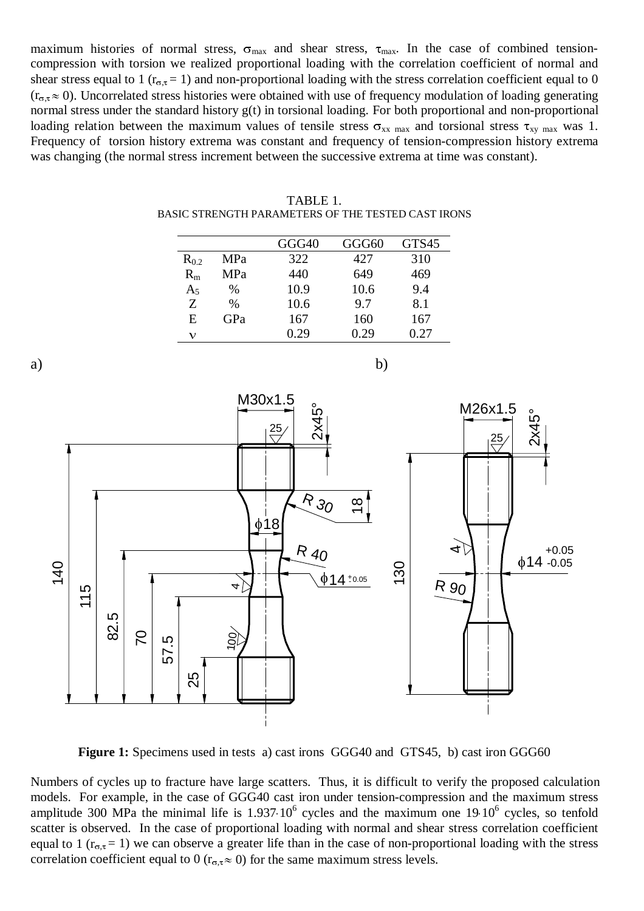maximum histories of normal stress,  $\sigma_{\text{max}}$  and shear stress,  $\tau_{\text{max}}$ . In the case of combined tensioncompression with torsion we realized proportional loading with the correlation coefficient of normal and shear stress equal to 1 ( $r_{\sigma,\tau}$  = 1) and non-proportional loading with the stress correlation coefficient equal to 0  $(r_{\sigma,\tau}\approx 0)$ . Uncorrelated stress histories were obtained with use of frequency modulation of loading generating normal stress under the standard history g(t) in torsional loading. For both proportional and non-proportional loading relation between the maximum values of tensile stress  $\sigma_{xx}$  max and torsional stress  $\tau_{xy}$  max was 1. Frequency of torsion history extrema was constant and frequency of tension-compression history extrema was changing (the normal stress increment between the successive extrema at time was constant).

|           |      | GGG40 | GGG60 | GTS45 |
|-----------|------|-------|-------|-------|
| $R_{0.2}$ | MPa  | 322   | 427   | 310   |
| $R_{m}$   | MPa  | 440   | 649   | 469   |
| $A_5$     | %    | 10.9  | 10.6  | 9.4   |
| Z         | $\%$ | 10.6  | 9.7   | 8.1   |
| E         | GPa  | 167   | 160   | 167   |
| ν         |      | 0.29  | 0.29  | 0.27  |

| TABLE 1.                                           |  |
|----------------------------------------------------|--|
| BASIC STRENGTH PARAMETERS OF THE TESTED CAST IRONS |  |



**Figure 1:** Specimens used in tests a) cast irons GGG40 and GTS45, b) cast iron GGG60

Numbers of cycles up to fracture have large scatters. Thus, it is difficult to verify the proposed calculation models. For example, in the case of GGG40 cast iron under tension-compression and the maximum stress amplitude 300 MPa the minimal life is  $1.937 \cdot 10^6$  cycles and the maximum one 19 $10^6$  cycles, so tenfold scatter is observed. In the case of proportional loading with normal and shear stress correlation coefficient equal to 1 ( $r_{\sigma,\tau}$  = 1) we can observe a greater life than in the case of non-proportional loading with the stress correlation coefficient equal to 0 ( $r_{\sigma,\tau} \approx 0$ ) for the same maximum stress levels.

a) b)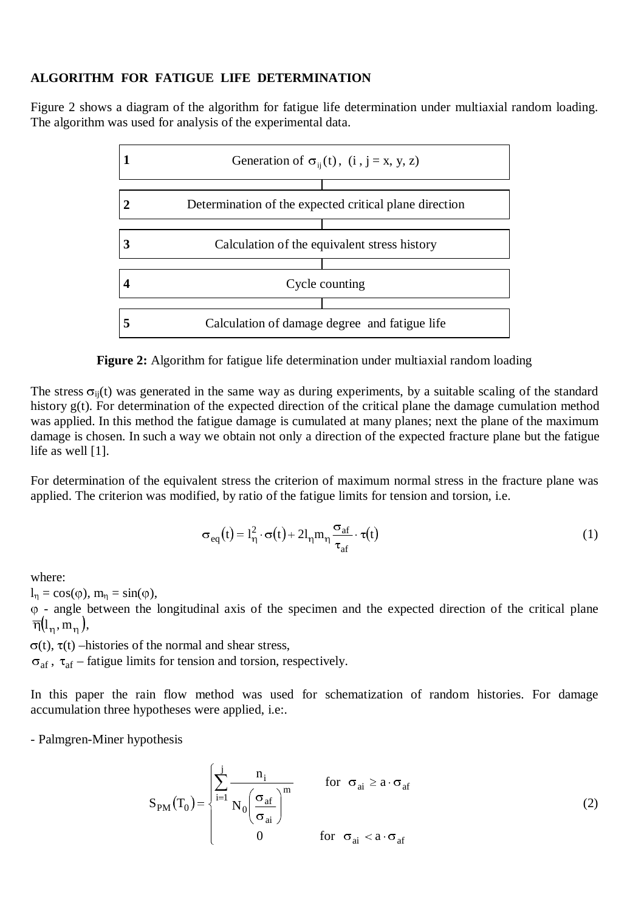## **ALGORITHM FOR FATIGUE LIFE DETERMINATION**

Figure 2 shows a diagram of the algorithm for fatigue life determination under multiaxial random loading. The algorithm was used for analysis of the experimental data.



**Figure 2:** Algorithm for fatigue life determination under multiaxial random loading

The stress  $\sigma_{ii}(t)$  was generated in the same way as during experiments, by a suitable scaling of the standard history g(t). For determination of the expected direction of the critical plane the damage cumulation method was applied. In this method the fatigue damage is cumulated at many planes; next the plane of the maximum damage is chosen. In such a way we obtain not only a direction of the expected fracture plane but the fatigue life as well [1].

For determination of the equivalent stress the criterion of maximum normal stress in the fracture plane was applied. The criterion was modified, by ratio of the fatigue limits for tension and torsion, i.e.

$$
\sigma_{eq}(t) = l_{\eta}^{2} \cdot \sigma(t) + 2l_{\eta} m_{\eta} \frac{\sigma_{af}}{\tau_{af}} \cdot \tau(t)
$$
 (1)

where:

 $l_n = \cos(\varphi), m_n = \sin(\varphi),$ 

 $\varphi$  - angle between the longitudinal axis of the specimen and the expected direction of the critical plane  $\overline{\eta}(l_n, m_n)$ ,

 $\sigma(t)$ ,  $\tau(t)$  –histories of the normal and shear stress,

 $\sigma_{\text{af}}$ ,  $\tau_{\text{af}}$  – fatigue limits for tension and torsion, respectively.

In this paper the rain flow method was used for schematization of random histories. For damage accumulation three hypotheses were applied, i.e:.

- Palmgren-Miner hypothesis

$$
S_{PM}(T_0) = \begin{cases} \sum_{i=1}^{j} \frac{n_i}{N_0 \left(\frac{\sigma_{af}}{\sigma_{ai}}\right)^m} & \text{for } \sigma_{ai} \ge a \cdot \sigma_{af} \\ 0 & \text{for } \sigma_{ai} < a \cdot \sigma_{af} \end{cases}
$$
(2)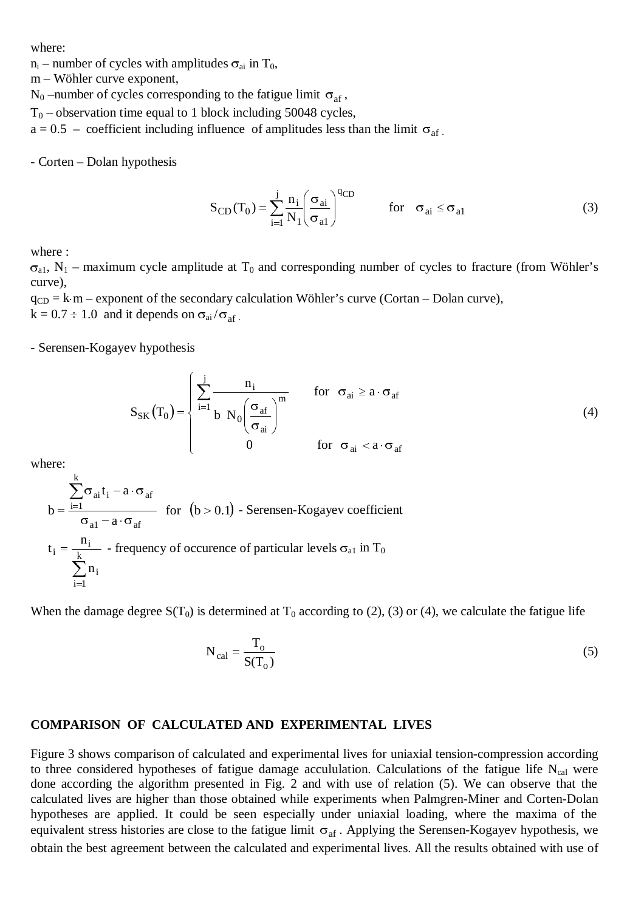where:

 $n_i$  – number of cycles with amplitudes  $\sigma_{ai}$  in T<sub>0</sub>,

m – Wöhler curve exponent,

 $N_0$  –number of cycles corresponding to the fatigue limit  $\sigma_{af}$ ,

 $T_0$  – observation time equal to 1 block including 50048 cycles,

 $a = 0.5$  – coefficient including influence of amplitudes less than the limit  $\sigma_{af}$ .

- Corten – Dolan hypothesis

$$
S_{CD}(T_0) = \sum_{i=1}^{j} \frac{n_i}{N_1} \left(\frac{\sigma_{ai}}{\sigma_{al}}\right)^{qCD} \qquad \text{for} \quad \sigma_{ai} \le \sigma_{al} \tag{3}
$$

where :

 $\sigma_{a1}$ , N<sub>1</sub> – maximum cycle amplitude at T<sub>0</sub> and corresponding number of cycles to fracture (from Wöhler's curve),

 $q_{CD} = k \text{ m} -$  exponent of the secondary calculation Wöhler's curve (Cortan – Dolan curve),

 $k = 0.7 \div 1.0$  and it depends on  $\sigma_{ai}/\sigma_{af}$ .

- Serensen-Kogayev hypothesis

$$
S_{SK}(T_0) = \begin{cases} \sum_{i=1}^{j} \frac{n_i}{b N_0 \left(\frac{\sigma_{af}}{\sigma_{ai}}\right)^m} & \text{for } \sigma_{ai} \ge a \cdot \sigma_{af} \\ 0 & \text{for } \sigma_{ai} < a \cdot \sigma_{af} \end{cases}
$$
(4)

where:

$$
b = \frac{\sum_{i=1}^{k} \sigma_{ai} t_i - a \cdot \sigma_{af}}{\sigma_{a1} - a \cdot \sigma_{af}}
$$
 for  $(b > 0.1)$  - Serensen-Kogayev coefficient  

$$
t_i = \frac{n_i}{\sum_{i=1}^{k} n_i}
$$
 - frequency of occurrence of particular levels  $\sigma_{a1}$  in  $T_0$ 

When the damage degree  $S(T_0)$  is determined at  $T_0$  according to (2), (3) or (4), we calculate the fatigue life

$$
N_{cal} = \frac{T_o}{S(T_o)}
$$
 (5)

#### **COMPARISON OF CALCULATED AND EXPERIMENTAL LIVES**

Figure 3 shows comparison of calculated and experimental lives for uniaxial tension-compression according to three considered hypotheses of fatigue damage accululation. Calculations of the fatigue life  $N_{cal}$  were done according the algorithm presented in Fig. 2 and with use of relation (5). We can observe that the calculated lives are higher than those obtained while experiments when Palmgren-Miner and Corten-Dolan hypotheses are applied. It could be seen especially under uniaxial loading, where the maxima of the equivalent stress histories are close to the fatigue limit  $\sigma_{\text{af}}$ . Applying the Serensen-Kogayev hypothesis, we obtain the best agreement between the calculated and experimental lives. All the results obtained with use of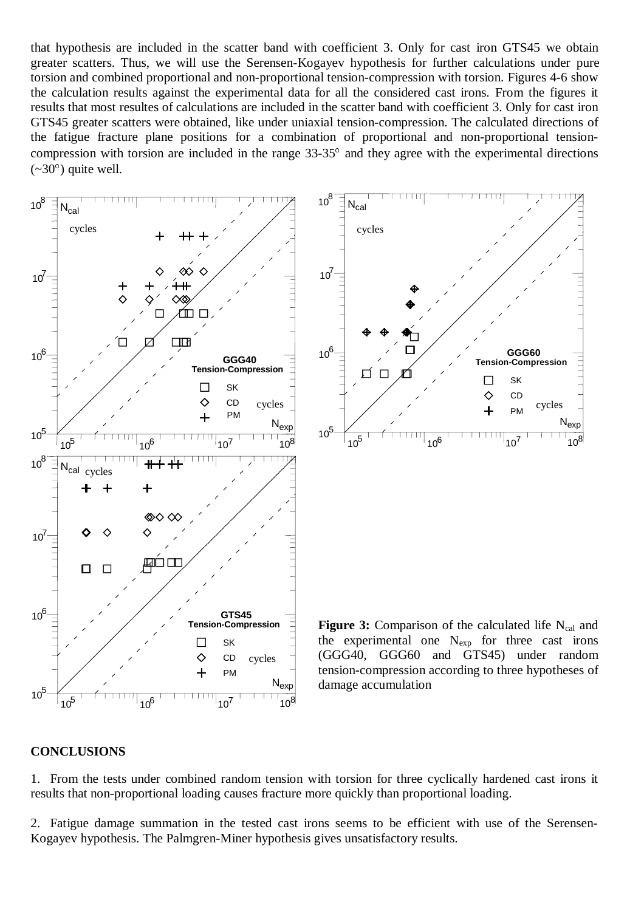that hypothesis are included in the scatter band with coefficient 3. Only for cast iron GTS45 we obtain greater scatters. Thus, we will use the Serensen-Kogayev hypothesis for further calculations under pure torsion and combined proportional and non-proportional tension-compression with torsion. Figures 4-6 show the calculation results against the experimental data for all the considered cast irons. From the figures it results that most resultes of calculations are included in the scatter band with coefficient 3. Only for cast iron GTS45 greater scatters were obtained, like under uniaxial tension-compression. The calculated directions of the fatigue fracture plane positions for a combination of proportional and non-proportional tensioncompression with torsion are included in the range  $33-35^{\circ}$  and they agree with the experimental directions  $(\sim 30^{\circ})$  quite well.



#### **CONCLUSIONS**

1. From the tests under combined random tension with torsion for three cyclically hardened cast irons it results that non-proportional loading causes fracture more quickly than proportional loading.

2. Fatigue damage summation in the tested cast irons seems to be efficient with use of the Serensen-Kogayev hypothesis. The Palmgren-Miner hypothesis gives unsatisfactory results.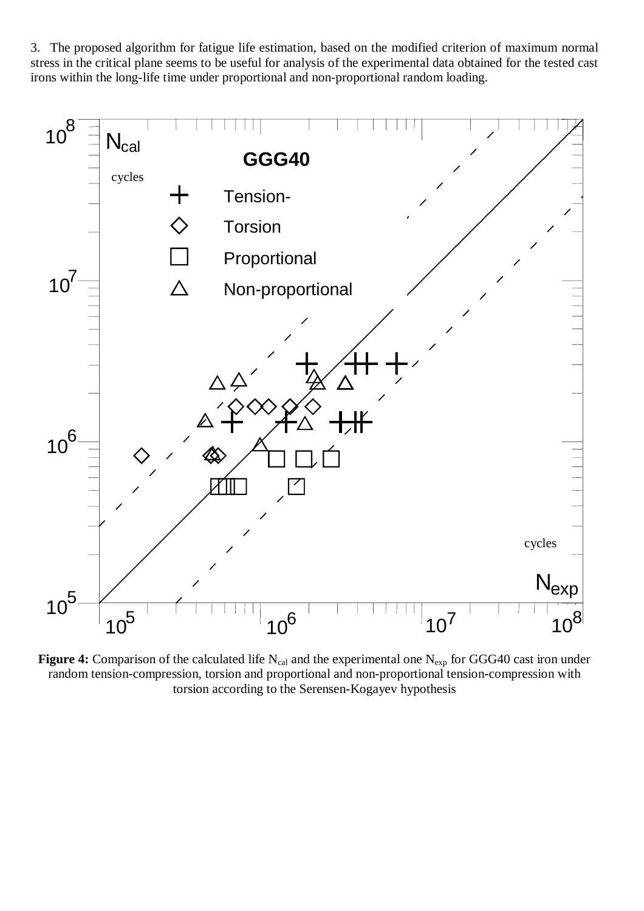3. The proposed algorithm for fatigue life estimation, based on the modified criterion of maximum normal stress in the critical plane seems to be useful for analysis of the experimental data obtained for the tested cast irons within the long-life time under proportional and non-proportional random loading.



Figure 4: Comparison of the calculated life N<sub>cal</sub> and the experimental one N<sub>exp</sub> for GGG40 cast iron under random tension-compression, torsion and proportional and non-proportional tension-compression with torsion according to the Serensen-Kogayev hypothesis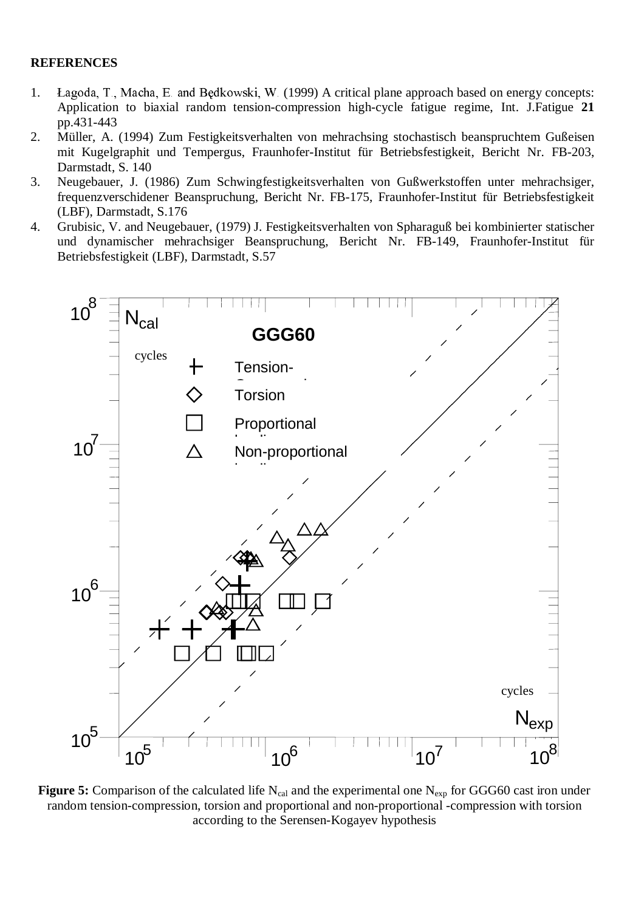## **REFERENCES**

- 1. Łagoda, T., Macha, E. and Będkowski, W. (1999) A critical plane approach based on energy concepts: Application to biaxial random tension-compression high-cycle fatigue regime, Int. J.Fatigue **21** pp.431-443
- 2. Müller, A. (1994) Zum Festigkeitsverhalten von mehrachsing stochastisch beanspruchtem Gußeisen mit Kugelgraphit und Tempergus, Fraunhofer-Institut für Betriebsfestigkeit, Bericht Nr. FB-203, Darmstadt, S. 140
- 3. Neugebauer, J. (1986) Zum Schwingfestigkeitsverhalten von Gußwerkstoffen unter mehrachsiger, frequenzverschidener Beanspruchung, Bericht Nr. FB-175, Fraunhofer-Institut für Betriebsfestigkeit (LBF), Darmstadt, S.176
- 4. Grubisic, V. and Neugebauer, (1979) J. Festigkeitsverhalten von Spharaguß bei kombinierter statischer und dynamischer mehrachsiger Beanspruchung, Bericht Nr. FB-149, Fraunhofer-Institut für Betriebsfestigkeit (LBF), Darmstadt, S.57



**Figure 5:** Comparison of the calculated life  $N_{cal}$  and the experimental one  $N_{\text{exp}}$  for GGG60 cast iron under random tension-compression, torsion and proportional and non-proportional -compression with torsion according to the Serensen-Kogayev hypothesis